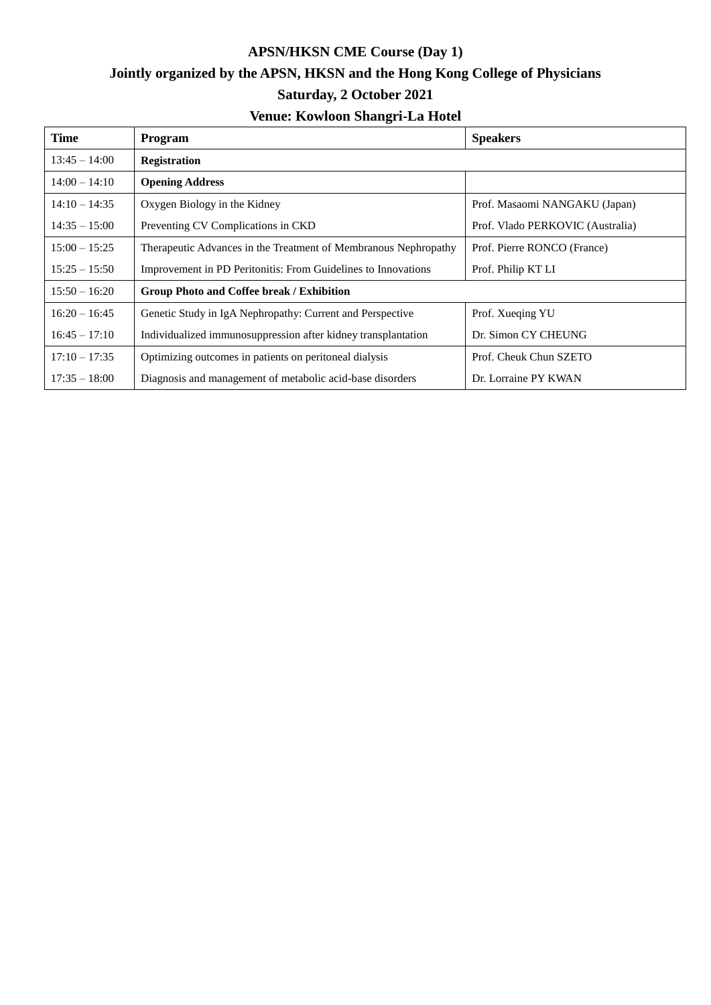## **APSN/HKSN CME Course (Day 1) Jointly organized by the APSN, HKSN and the Hong Kong College of Physicians Saturday, 2 October 2021 Venue: Kowloon Shangri-La Hotel**

| <b>Time</b>     | Program                                                         | <b>Speakers</b>                  |  |
|-----------------|-----------------------------------------------------------------|----------------------------------|--|
| $13:45 - 14:00$ | <b>Registration</b>                                             |                                  |  |
| $14:00 - 14:10$ | <b>Opening Address</b>                                          |                                  |  |
| $14:10 - 14:35$ | Oxygen Biology in the Kidney                                    | Prof. Masaomi NANGAKU (Japan)    |  |
| $14:35 - 15:00$ | Preventing CV Complications in CKD                              | Prof. Vlado PERKOVIC (Australia) |  |
| $15:00 - 15:25$ | Therapeutic Advances in the Treatment of Membranous Nephropathy | Prof. Pierre RONCO (France)      |  |
| $15:25 - 15:50$ | Improvement in PD Peritonitis: From Guidelines to Innovations   | Prof. Philip KT LI               |  |
| $15:50 - 16:20$ | Group Photo and Coffee break / Exhibition                       |                                  |  |
| $16:20 - 16:45$ | Genetic Study in IgA Nephropathy: Current and Perspective       | Prof. Xueqing YU                 |  |
| $16:45 - 17:10$ | Individualized immunosuppression after kidney transplantation   | Dr. Simon CY CHEUNG              |  |
| $17:10 - 17:35$ | Optimizing outcomes in patients on peritoneal dialysis          | Prof. Cheuk Chun SZETO           |  |
| $17:35 - 18:00$ | Diagnosis and management of metabolic acid-base disorders       | Dr. Lorraine PY KWAN             |  |